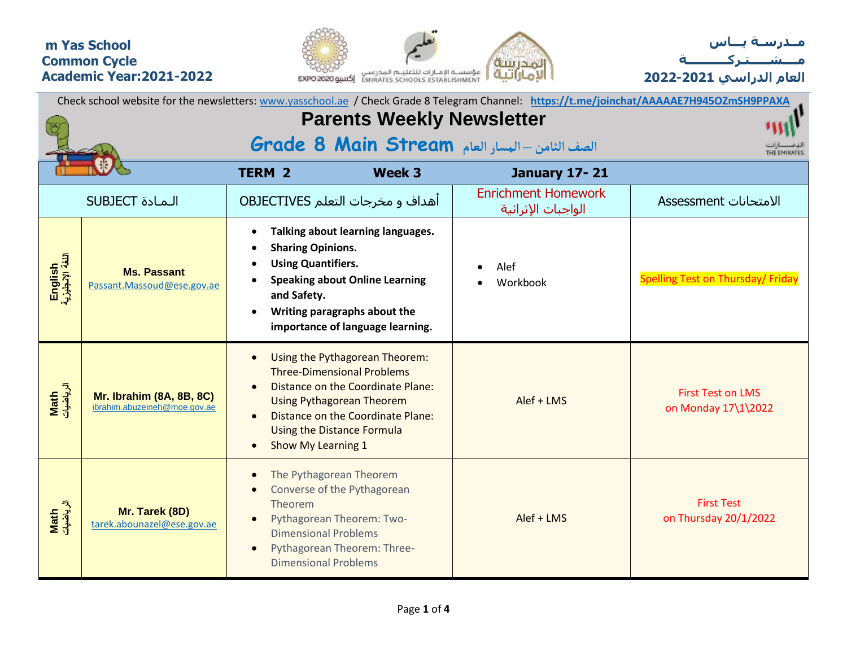## **m Yas School Common Cycle Academic Year:2021-2022**





| Check school website for the newsletters: www.yasschool.ae / Check Grade 8 Telegram Channel: https://t.me/joinchat/AAAAAE7H945OZmSH9PPAXA |                                                                 |                                                                                                                                                                                                          |                                                                                                                |                                                  |                                                 |  |  |
|-------------------------------------------------------------------------------------------------------------------------------------------|-----------------------------------------------------------------|----------------------------------------------------------------------------------------------------------------------------------------------------------------------------------------------------------|----------------------------------------------------------------------------------------------------------------|--------------------------------------------------|-------------------------------------------------|--|--|
| <b>Parents Weekly Newsletter</b>                                                                                                          |                                                                 |                                                                                                                                                                                                          |                                                                                                                |                                                  |                                                 |  |  |
| الصف الثامن - المسار العام Grade 8 Main Stream<br>THE SMIRATES                                                                            |                                                                 |                                                                                                                                                                                                          |                                                                                                                |                                                  |                                                 |  |  |
|                                                                                                                                           |                                                                 | <b>TERM 2</b>                                                                                                                                                                                            | Week 3                                                                                                         | <b>January 17-21</b>                             |                                                 |  |  |
|                                                                                                                                           | <b>SUBJECT</b> الـمـادة                                         | <b>OBJECTIVES</b> اهداف و مخرجات التعلم                                                                                                                                                                  |                                                                                                                | <b>Enrichment Homework</b><br>الواجبات الإثرائية | الامتحانات Assessment                           |  |  |
| English<br>اللغة الإنجليزية                                                                                                               | <b>Ms. Passant</b><br>Passant.Massoud@ese.gov.ae                | <b>Sharing Opinions.</b><br><b>Using Quantifiers.</b><br>and Safety.<br>Writing paragraphs about the                                                                                                     | Talking about learning languages.<br><b>Speaking about Online Learning</b><br>importance of language learning. | Alef<br>Workbook                                 | Spelling Test on Thursday/ Friday               |  |  |
| Math<br>الرياضيات                                                                                                                         | <b>Mr. Ibrahim (8A, 8B, 8C)</b><br>ibrahim.abuzeineh@moe.gov.ae | $\bullet$<br><b>Three-Dimensional Problems</b><br><b>Using Pythagorean Theorem</b><br><b>Using the Distance Formula</b><br>Show My Learning 1                                                            | Using the Pythagorean Theorem:<br>Distance on the Coordinate Plane:<br>Distance on the Coordinate Plane:       | Alef + LMS                                       | <b>First Test on LMS</b><br>on Monday 17\1\2022 |  |  |
| Math<br>الرياضيات                                                                                                                         | Mr. Tarek (8D)<br>tarek.abounazel@ese.gov.ae                    | The Pythagorean Theorem<br>Converse of the Pythagorean<br>Theorem<br>Pythagorean Theorem: Two-<br><b>Dimensional Problems</b><br>Pythagorean Theorem: Three-<br>$\bullet$<br><b>Dimensional Problems</b> |                                                                                                                | Alef + LMS                                       | <b>First Test</b><br>on Thursday 20/1/2022      |  |  |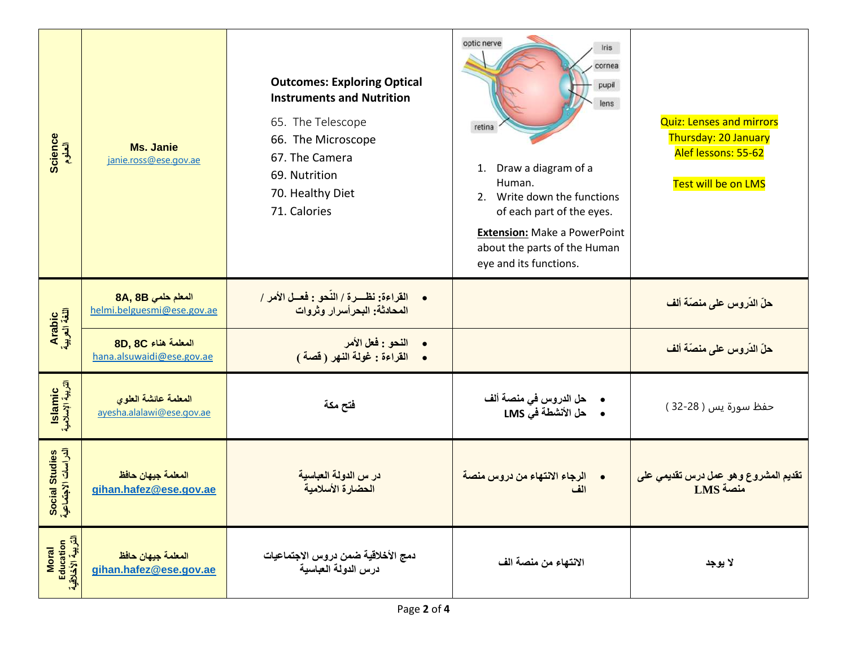| Science<br>العلوم                              | <b>Ms. Janie</b><br>janie.ross@ese.gov.ae         | <b>Outcomes: Exploring Optical</b><br><b>Instruments and Nutrition</b><br>65. The Telescope<br>66. The Microscope<br>67. The Camera<br>69. Nutrition<br>70. Healthy Diet<br>71. Calories | optic nerve<br>Iris<br>cornea<br>pupil<br>lens<br>retina<br>Draw a diagram of a<br>1.<br>Human.<br>2. Write down the functions<br>of each part of the eyes.<br><b>Extension: Make a PowerPoint</b><br>about the parts of the Human<br>eye and its functions. | <b>Quiz: Lenses and mirrors</b><br><b>Thursday: 20 January</b><br>Alef lessons: 55-62<br>Test will be on LMS |
|------------------------------------------------|---------------------------------------------------|------------------------------------------------------------------------------------------------------------------------------------------------------------------------------------------|--------------------------------------------------------------------------------------------------------------------------------------------------------------------------------------------------------------------------------------------------------------|--------------------------------------------------------------------------------------------------------------|
| Arabic<br>اللغة العربية                        | المعلم حلمي 8A, 8B<br>helmi.belguesmi@ese.gov.ae  | القراءة: نظـــرة / النَّحو : فعــل الأمر /<br>$\bullet$<br>المحادثة: البحر أسرار وثروات                                                                                                  |                                                                                                                                                                                                                                                              | حلّ الدّروس على منصّة ألف                                                                                    |
|                                                | 8D, 8C المعلمة هناء<br>hana.alsuwaidi@ese.gov.ae  | النحو : فعل الأمر<br>• القراءة : غولة النهر (قصة)                                                                                                                                        |                                                                                                                                                                                                                                                              | حلّ الدّروس على منصّة ألف                                                                                    |
| Islamic<br>التربية الإسلامية                   | المعلمة عانشة العلوى<br>ayesha.alalawi@ese.gov.ae | فتح مكة                                                                                                                                                                                  | •     حل الدروس في منصة ألف<br>•      حل الأنشطة في LMS                                                                                                                                                                                                      | حفظ سورة يس ( 28-32 )                                                                                        |
| Social Studies<br>الدراسات الاجتماعية          | المعلمة جيهان حافظ<br>gihan.hafez@ese.gov.ae      | در س الدولة العباسية<br>الحضارة الأسلامية                                                                                                                                                | •     الرجاء الانتهاء من دروس منصة<br>الف                                                                                                                                                                                                                    | تقديم المشروع وهو عمل درس تقديمي على<br>LMS منصة                                                             |
| Education<br>التربية الأخلاقية<br><b>Moral</b> | المعلمة جيهان حافظ<br>gihan.hafez@ese.gov.ae      | دمج الأخلاقية ضمن دروس الاجتماعيات<br>درس الدولة العباسية                                                                                                                                | الانتهاء من منصة الف                                                                                                                                                                                                                                         | لا يوجد                                                                                                      |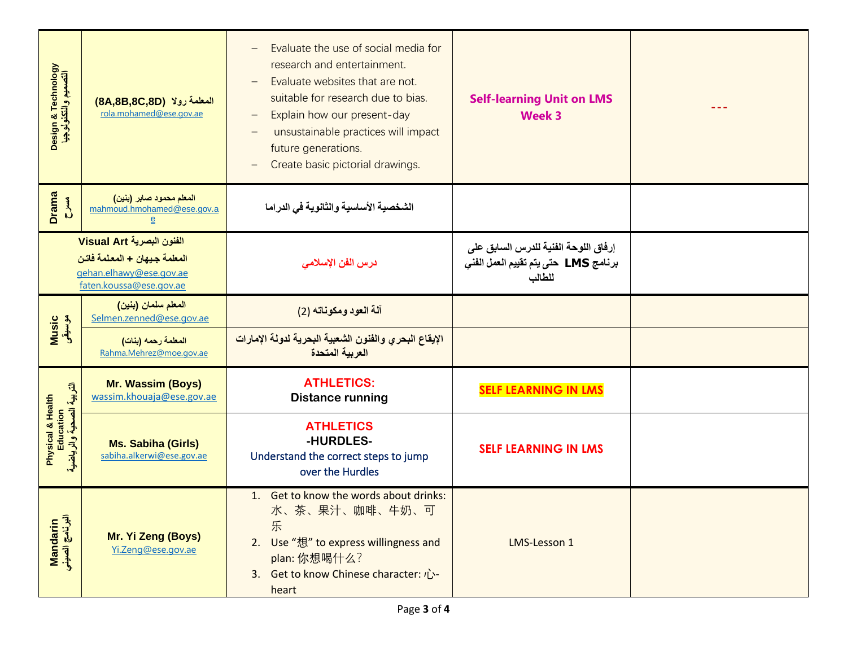| Design & Technology<br>التصميم و التكنولوجيا                                                                    | المعلمة رولا (8A,8B,8C,8D)<br>rola.mohamed@ese.gov.ae                    | Evaluate the use of social media for<br>$\overline{\phantom{m}}$<br>research and entertainment.<br>Evaluate websites that are not.<br>suitable for research due to bias.<br>Explain how our present-day<br>$\overline{\phantom{m}}$<br>unsustainable practices will impact<br>future generations.<br>Create basic pictorial drawings. | <b>Self-learning Unit on LMS</b><br><b>Week 3</b>                                      |  |
|-----------------------------------------------------------------------------------------------------------------|--------------------------------------------------------------------------|---------------------------------------------------------------------------------------------------------------------------------------------------------------------------------------------------------------------------------------------------------------------------------------------------------------------------------------|----------------------------------------------------------------------------------------|--|
| <b>Drama</b><br>$\sum_{i=1}^{n}$                                                                                | المعلم محمود صابر (بنين)<br>mahmoud.hmohamed@ese.gov.a<br>$\overline{e}$ | الشخصية الأساسية والثانوية فى الدراما                                                                                                                                                                                                                                                                                                 |                                                                                        |  |
| الفنون البصرية Visual Art<br>المعلمة جيهان + المعلمة فاتن<br>gehan.elhawy@ese.gov.ae<br>faten.koussa@ese.gov.ae |                                                                          | درس الفن الإسلا <i>مى</i>                                                                                                                                                                                                                                                                                                             | إرفاق اللوحة الفنية للدرس السابق على<br>برنامج LMS حتى يتم تقييم العمل الفني<br>للطالب |  |
| Music<br>موسیقی                                                                                                 | المعلم سلمان (بنين)<br>Selmen.zenned@ese.gov.ae                          | آلة العود ومكوناته (2)                                                                                                                                                                                                                                                                                                                |                                                                                        |  |
|                                                                                                                 | المعلمة رحمه (بنات)<br>Rahma.Mehrez@moe.gov.ae                           | الإيقاع البحري والفنون الشعبية البحرية لدولة الإمارات<br>العربية المتحدة                                                                                                                                                                                                                                                              |                                                                                        |  |
| Physical & Health<br>Education<br>التربية الصحية والرياضية                                                      | <b>Mr. Wassim (Boys)</b><br>wassim.khouaja@ese.gov.ae                    | <b>ATHLETICS:</b><br><b>Distance running</b>                                                                                                                                                                                                                                                                                          | <b>SELF LEARNING IN LMS</b>                                                            |  |
|                                                                                                                 | <b>Ms. Sabiha (Girls)</b><br>sabiha.alkerwi@ese.gov.ae                   | <b>ATHLETICS</b><br>-HURDLES-<br>Understand the correct steps to jump<br>over the Hurdles                                                                                                                                                                                                                                             | <b>SELF LEARNING IN LMS</b>                                                            |  |
| Mandarin<br>البرنامج الصيني                                                                                     | Mr. Yi Zeng (Boys)<br>Yi.Zeng@ese.gov.ae                                 | 1. Get to know the words about drinks:<br>水、茶、果汁、咖啡、牛奶、可<br>乐<br>2. Use "想" to express willingness and<br>plan: 你想喝什么?<br>3. Get to know Chinese character: $\vec{U}$ -<br>heart                                                                                                                                                      | LMS-Lesson 1                                                                           |  |